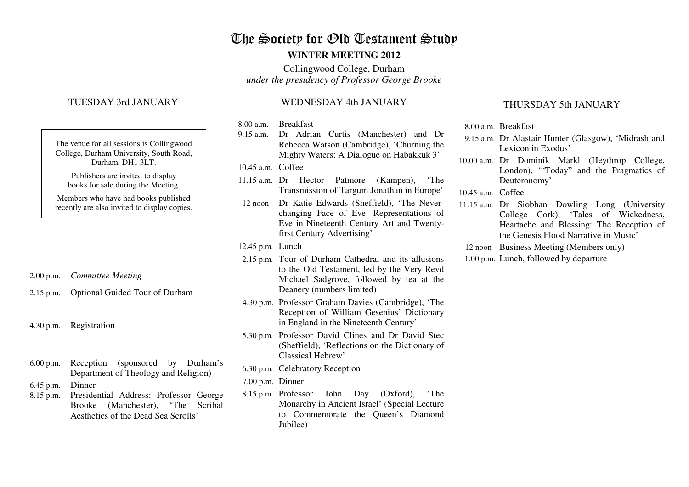# The Society for Old Testament Study

#### **WINTER MEETING 2012**

Collingwood College, Durham *under the presidency of Professor George Brooke*

### TUESDAY 3rd JANUARY

The venue for all sessions is Collingwood College, Durham University, South Road, Durham, DH1 3LT.

Publishers are invited to display books for sale during the Meeting.

Members who have had books published recently are also invited to display copies.

- 2.00 p.m. *Committee Meeting*
- 2.15 p.m. Optional Guided Tour of Durham
- 4.30 p.m. Registration
- 6.00 p.m. Reception (sponsored by Durham's Department of Theology and Religion)
- 6.45 p.m. Dinner
- 8.15 p.m. Presidential Address: Professor George 'The Scribal Brooke (Manchester), Aesthetics of the Dead Sea Scrolls'

#### WEDNESDAY 4th JANUARY

- 8.00 a.m. Breakfast
- 9.15 a.m. Dr Adrian Curtis (Manchester) and Dr Rebecca Watson (Cambridge), 'Churning the Mighty Waters: A Dialogue on Habakkuk 3'
- 10.45 a.m. Coffee
- 11.15 a.m. Dr Hector Patmore (Kampen), 'The Transmission of Targum Jonathan in Europe'
- 12 noon Dr Katie Edwards (Sheffield), 'The Neverchanging Face of Eve: Representations of Eve in Nineteenth Century Art and Twentyfirst Century Advertising'
- 12.45 p.m. Lunch
- 2.15 p.m. Tour of Durham Cathedral and its allusions to the Old Testament, led by the Very Revd Michael Sadgrove, followed by tea at the Deanery (numbers limited)
- 4.30 p.m. Professor Graham Davies (Cambridge), 'The Reception of William Gesenius' Dictionary in England in the Nineteenth Century'
- 5.30 p.m. Professor David Clines and Dr David Stec (Sheffield), 'Reflections on the Dictionary of Classical Hebrew'
- 6.30 p.m. Celebratory Reception
- 7.00 p.m. Dinner
- 8.15 p.m. Professor John Day (Oxford), 'The Monarchy in Ancient Israel' (Special Lecture to Commemorate the Queen's Diamond Jubilee)

#### THURSDAY 5th JANUARY

8.00 a.m. Breakfast

- 9.15 a.m. Dr Alastair Hunter (Glasgow), 'Midrash and Lexicon in Exodus'
- 10.00 a.m. Dr Dominik Markl (Heythrop College, London), '"Today" and the Pragmatics of Deuteronomy'
- 10.45 a.m. Coffee
- 11.15 a.m. Dr Siobhan Dowling Long (University College Cork), 'Tales of Wickedness, Heartache and Blessing: The Reception of the Genesis Flood Narrative in Music'
- 12 noon Business Meeting (Members only)
- 1.00 p.m. Lunch, followed by departure